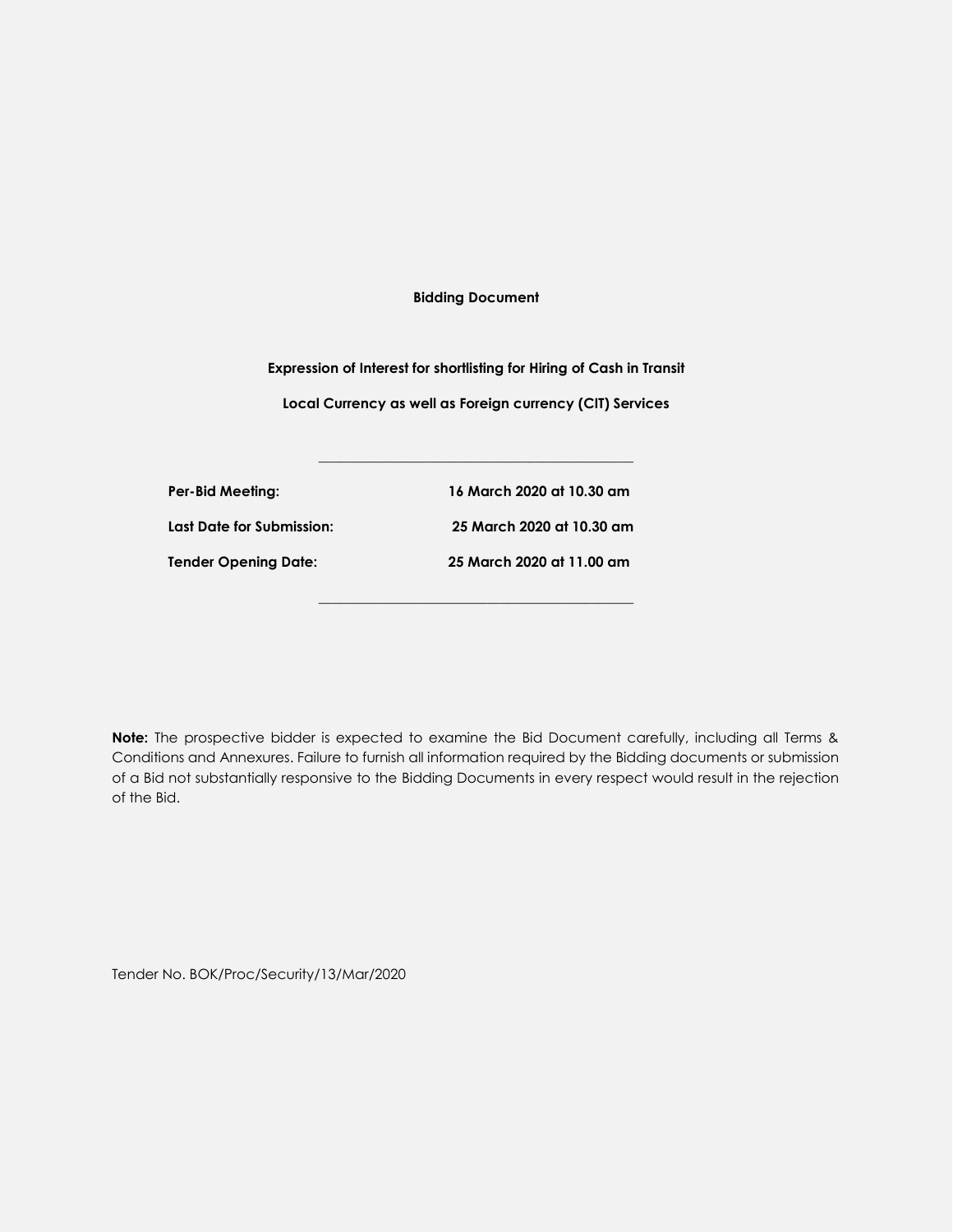**Bidding Document**

**Expression of Interest for shortlisting for Hiring of Cash in Transit Local Currency as well as Foreign currency (CIT) Services**

**\_\_\_\_\_\_\_\_\_\_\_\_\_\_\_\_\_\_\_\_\_\_\_\_\_\_\_\_\_\_\_\_\_\_\_\_\_\_\_\_\_\_\_\_\_**

**\_\_\_\_\_\_\_\_\_\_\_\_\_\_\_\_\_\_\_\_\_\_\_\_\_\_\_\_\_\_\_\_\_\_\_\_\_\_\_\_\_\_\_\_\_**

**Per-Bid Meeting: 16 March 2020 at 10.30 am Last Date for Submission: 25 March 2020 at 10.30 am Tender Opening Date: 25 March 2020 at 11.00 am**

**Note:** The prospective bidder is expected to examine the Bid Document carefully, including all Terms & Conditions and Annexures. Failure to furnish all information required by the Bidding documents or submission of a Bid not substantially responsive to the Bidding Documents in every respect would result in the rejection of the Bid.

Tender No. BOK/Proc/Security/13/Mar/2020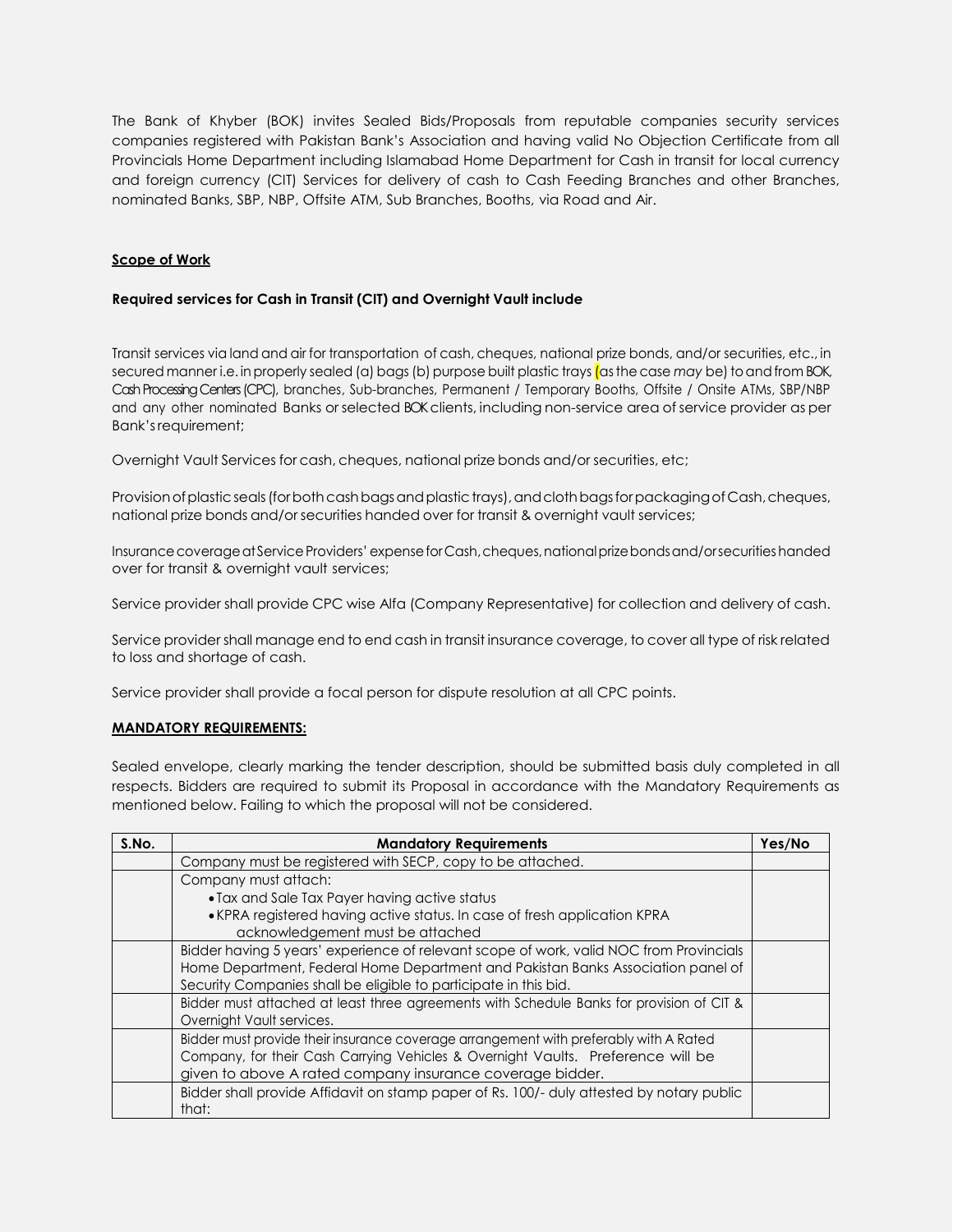The Bank of Khyber (BOK) invites Sealed Bids/Proposals from reputable companies security services companies registered with Pakistan Bank's Association and having valid No Objection Certificate from all Provincials Home Department including Islamabad Home Department for Cash in transit for local currency and foreign currency (CIT) Services for delivery of cash to Cash Feeding Branches and other Branches, nominated Banks, SBP, NBP, Offsite ATM, Sub Branches, Booths, via Road and Air.

## **Scope of Work**

## **Required services for Cash in Transit (CIT) and Overnight Vault include**

Transit services via land and air for transportation of cash, cheques, national prize bonds, and/or securities, etc., in secured manner i.e. in properly sealed (a) bags (b) purpose built plastic trays (as the case *may* be) to and from BOK, Cash Processing Centers (CPC), branches, Sub-branches, Permanent / Temporary Booths, Offsite / Onsite ATMs, SBP/NBP and any other nominated Banks or selected BOK clients, including non-service area of service provider as per Bank'srequirement;

Overnight Vault Services for cash, cheques, national prize bonds and/or securities, etc;

Provision of plastic seals (for both cash bags and plastic trays), and cloth bags for packaging of Cash, cheques, national prize bonds and/or securities handed over for transit & overnight vault services;

Insurance coverage at Service Providers' expense for Cash, cheques, national prize bonds and/orsecurities handed over for transit & overnight vault services;

Service provider shall provide CPC wise Alfa (Company Representative) for collection and delivery of cash.

Service provider shall manage end to end cash in transit insurance coverage, to cover all type of risk related to loss and shortage of cash.

Service provider shall provide a focal person for dispute resolution at all CPC points.

## **MANDATORY REQUIREMENTS:**

Sealed envelope, clearly marking the tender description, should be submitted basis duly completed in all respects. Bidders are required to submit its Proposal in accordance with the Mandatory Requirements as mentioned below. Failing to which the proposal will not be considered.

| S.No. | <b>Mandatory Requirements</b>                                                             | Yes/No |
|-------|-------------------------------------------------------------------------------------------|--------|
|       | Company must be registered with SECP, copy to be attached.                                |        |
|       | Company must attach:                                                                      |        |
|       | • Tax and Sale Tax Payer having active status                                             |        |
|       | • KPRA registered having active status. In case of fresh application KPRA                 |        |
|       | acknowledgement must be attached                                                          |        |
|       | Bidder having 5 years' experience of relevant scope of work, valid NOC from Provincials   |        |
|       | Home Department, Federal Home Department and Pakistan Banks Association panel of          |        |
|       | Security Companies shall be eligible to participate in this bid.                          |        |
|       | Bidder must attached at least three agreements with Schedule Banks for provision of CIT & |        |
|       | Overnight Vault services.                                                                 |        |
|       | Bidder must provide their insurance coverage arrangement with preferably with A Rated     |        |
|       | Company, for their Cash Carrying Vehicles & Overnight Vaults. Preference will be          |        |
|       | given to above A rated company insurance coverage bidder.                                 |        |
|       | Bidder shall provide Affidavit on stamp paper of Rs. 100/- duly attested by notary public |        |
|       | that:                                                                                     |        |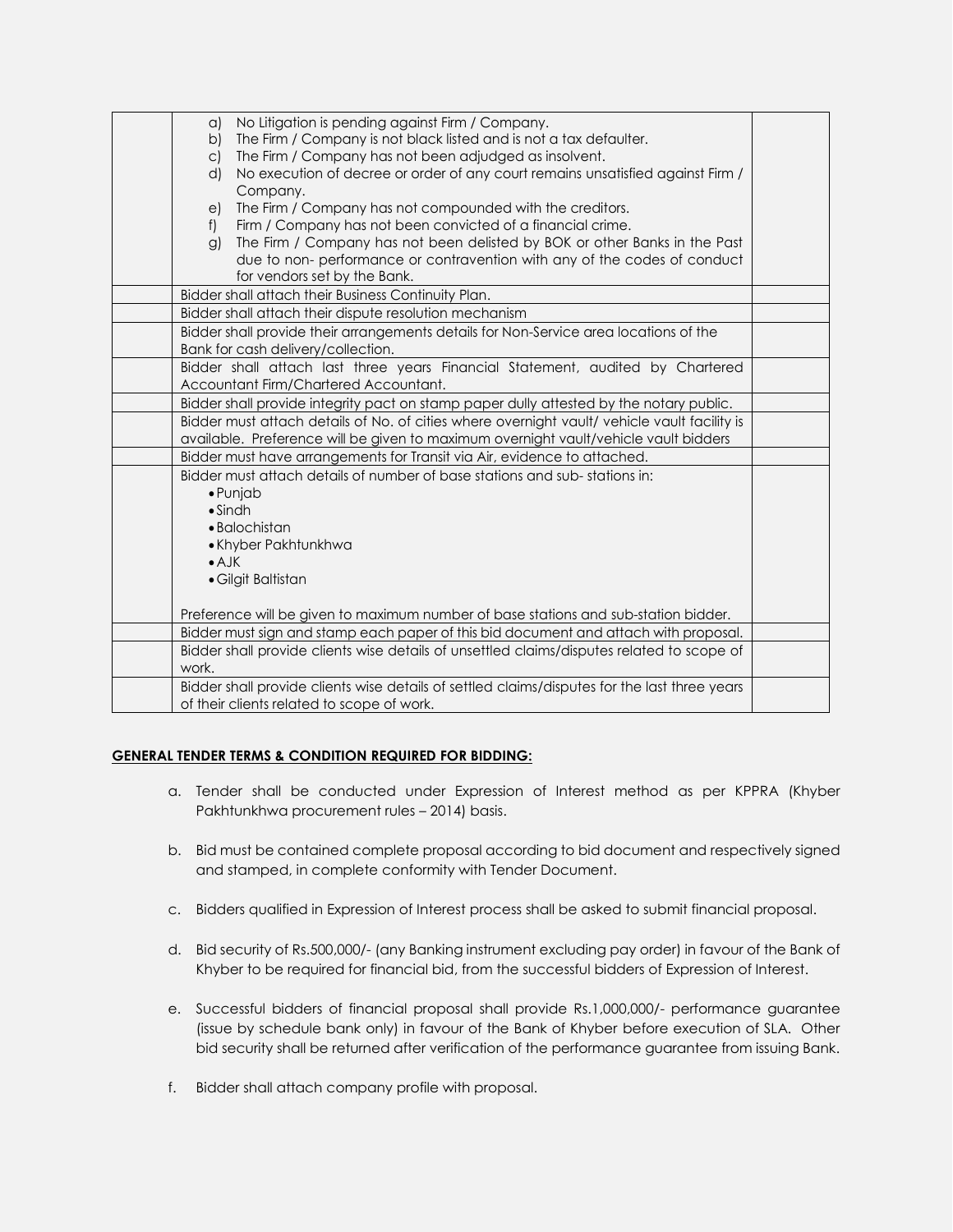| No Litigation is pending against Firm / Company.<br>$\alpha$                                                                                       |  |
|----------------------------------------------------------------------------------------------------------------------------------------------------|--|
| The Firm / Company is not black listed and is not a tax defaulter.<br>b)<br>The Firm / Company has not been adjudged as insolvent.<br>$\mathsf{C}$ |  |
| No execution of decree or order of any court remains unsatisfied against Firm /<br>d)                                                              |  |
| Company.                                                                                                                                           |  |
| The Firm / Company has not compounded with the creditors.<br>e)                                                                                    |  |
| Firm / Company has not been convicted of a financial crime.<br>f                                                                                   |  |
| The Firm / Company has not been delisted by BOK or other Banks in the Past<br>$\mathcal{G}$                                                        |  |
| due to non- performance or contravention with any of the codes of conduct                                                                          |  |
| for vendors set by the Bank.                                                                                                                       |  |
| Bidder shall attach their Business Continuity Plan.                                                                                                |  |
| Bidder shall attach their dispute resolution mechanism                                                                                             |  |
| Bidder shall provide their arrangements details for Non-Service area locations of the                                                              |  |
| Bank for cash delivery/collection.                                                                                                                 |  |
| Bidder shall attach last three years Financial Statement, audited by Chartered                                                                     |  |
| Accountant Firm/Chartered Accountant.                                                                                                              |  |
| Bidder shall provide integrity pact on stamp paper dully attested by the notary public.                                                            |  |
| Bidder must attach details of No. of cities where overnight vault/ vehicle vault facility is                                                       |  |
| available. Preference will be given to maximum overnight vault/vehicle vault bidders                                                               |  |
| Bidder must have arrangements for Transit via Air, evidence to attached.                                                                           |  |
| Bidder must attach details of number of base stations and sub-stations in:                                                                         |  |
| $\bullet$ Punjab                                                                                                                                   |  |
| $\bullet$ Sindh                                                                                                                                    |  |
| • Balochistan                                                                                                                                      |  |
| • Khyber Pakhtunkhwa<br>$\bullet$ A.JK                                                                                                             |  |
| · Gilgit Baltistan                                                                                                                                 |  |
|                                                                                                                                                    |  |
| Preference will be given to maximum number of base stations and sub-station bidder.                                                                |  |
| Bidder must sign and stamp each paper of this bid document and attach with proposal.                                                               |  |
| Bidder shall provide clients wise details of unsettled claims/disputes related to scope of                                                         |  |
| work.                                                                                                                                              |  |
| Bidder shall provide clients wise details of settled claims/disputes for the last three years                                                      |  |
| of their clients related to scope of work.                                                                                                         |  |

## **GENERAL TENDER TERMS & CONDITION REQUIRED FOR BIDDING:**

- a. Tender shall be conducted under Expression of Interest method as per KPPRA (Khyber Pakhtunkhwa procurement rules – 2014) basis.
- b. Bid must be contained complete proposal according to bid document and respectively signed and stamped, in complete conformity with Tender Document.
- c. Bidders qualified in Expression of Interest process shall be asked to submit financial proposal.
- d. Bid security of Rs.500,000/- (any Banking instrument excluding pay order) in favour of the Bank of Khyber to be required for financial bid, from the successful bidders of Expression of Interest.
- e. Successful bidders of financial proposal shall provide Rs.1,000,000/- performance guarantee (issue by schedule bank only) in favour of the Bank of Khyber before execution of SLA. Other bid security shall be returned after verification of the performance guarantee from issuing Bank.
- f. Bidder shall attach company profile with proposal.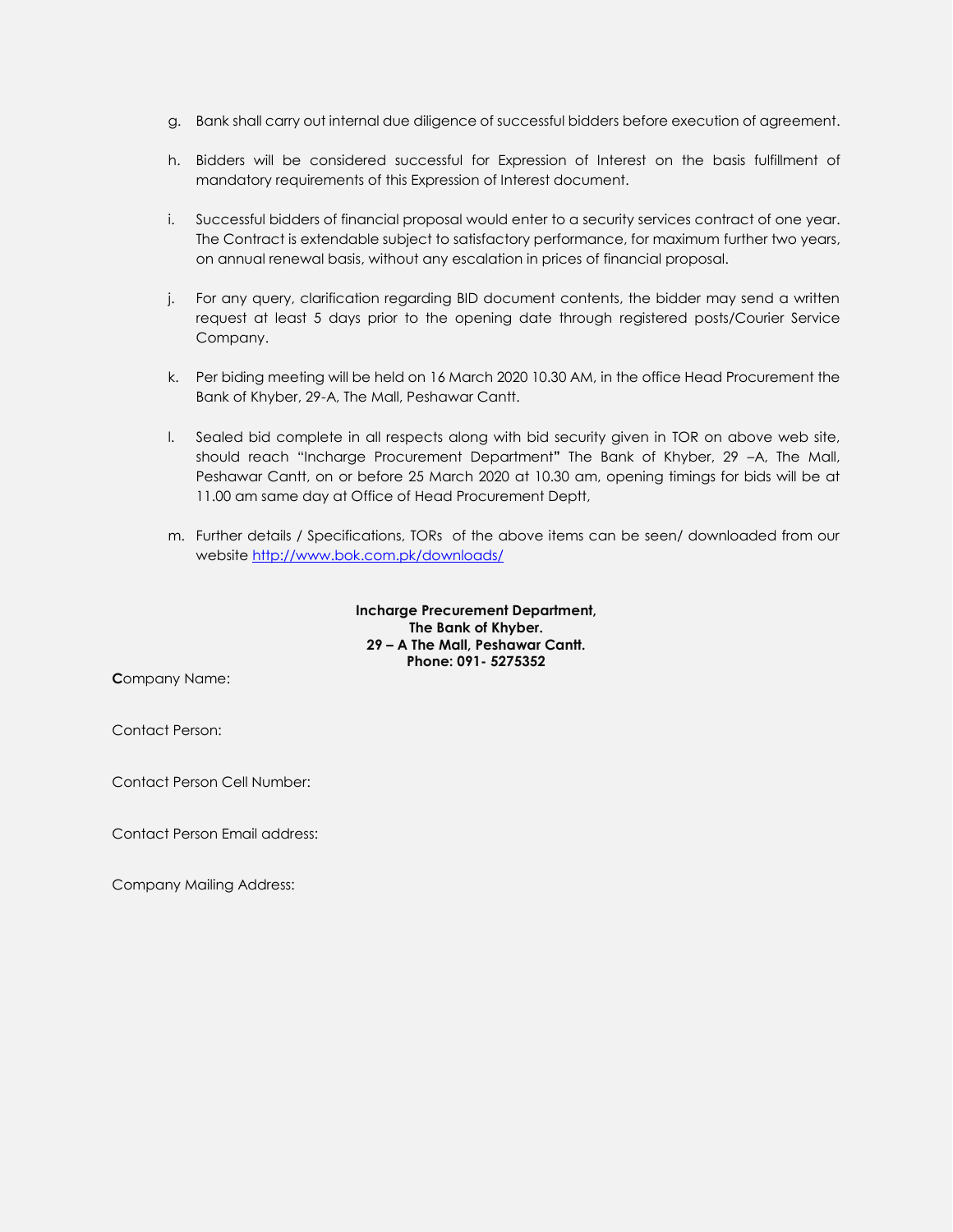- g. Bank shall carry out internal due diligence of successful bidders before execution of agreement.
- h. Bidders will be considered successful for Expression of Interest on the basis fulfillment of mandatory requirements of this Expression of Interest document.
- i. Successful bidders of financial proposal would enter to a security services contract of one year. The Contract is extendable subject to satisfactory performance, for maximum further two years, on annual renewal basis, without any escalation in prices of financial proposal.
- j. For any query, clarification regarding BID document contents, the bidder may send a written request at least 5 days prior to the opening date through registered posts/Courier Service Company.
- k. Per biding meeting will be held on 16 March 2020 10.30 AM, in the office Head Procurement the Bank of Khyber, 29-A, The Mall, Peshawar Cantt.
- l. Sealed bid complete in all respects along with bid security given in TOR on above web site, should reach "Incharge Procurement Department**"** The Bank of Khyber, 29 –A, The Mall, Peshawar Cantt, on or before 25 March 2020 at 10.30 am, opening timings for bids will be at 11.00 am same day at Office of Head Procurement Deptt,
- m. Further details / Specifications, TORs of the above items can be seen/ downloaded from our website<http://www.bok.com.pk/downloads/>

**Incharge Precurement Department, The Bank of Khyber. 29 – A The Mall, Peshawar Cantt. Phone: 091- 5275352**

**C**ompany Name:

Contact Person:

Contact Person Cell Number:

Contact Person Email address:

Company Mailing Address: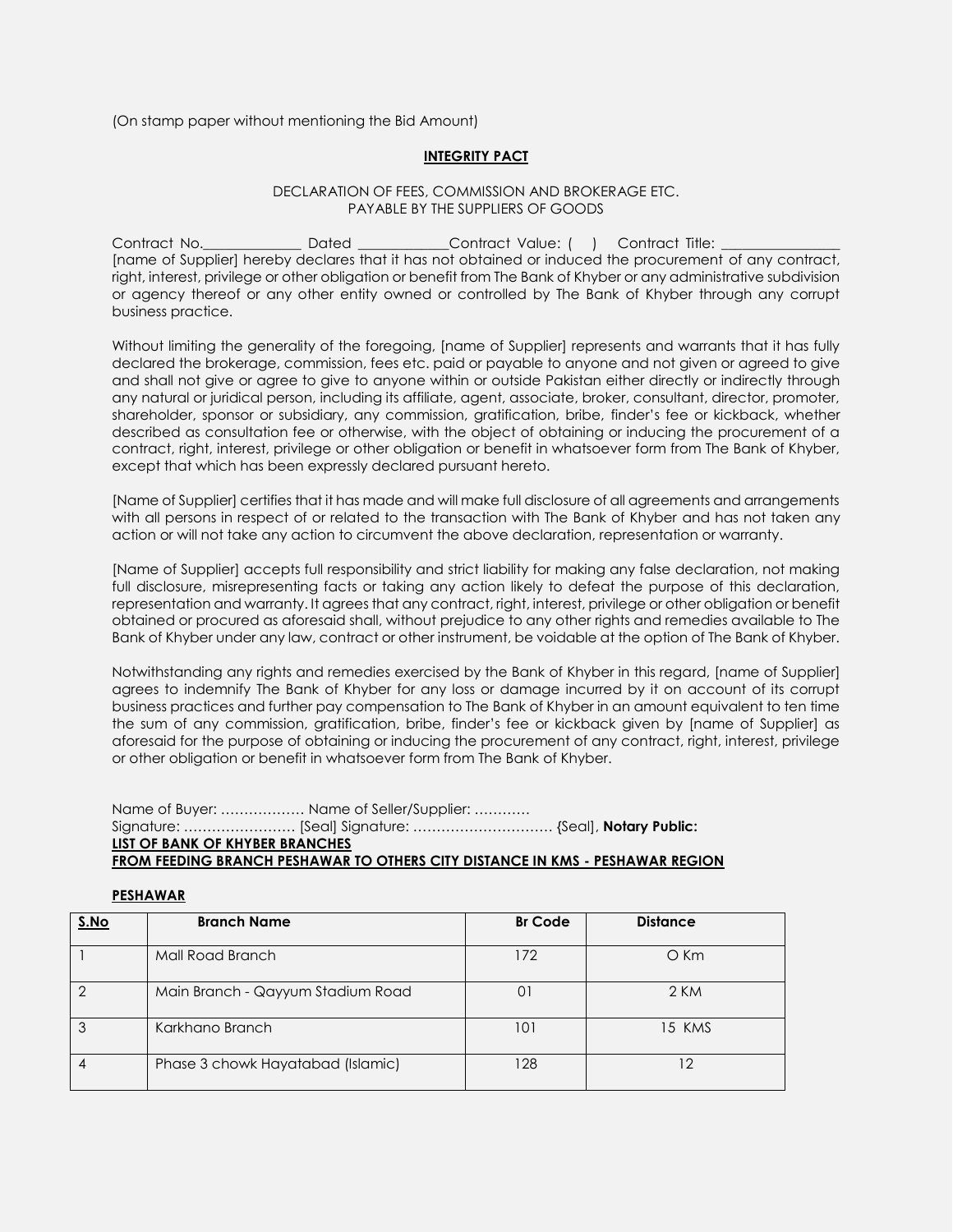(On stamp paper without mentioning the Bid Amount)

#### **INTEGRITY PACT**

#### DECLARATION OF FEES, COMMISSION AND BROKERAGE ETC. PAYABLE BY THE SUPPLIERS OF GOODS

Contract No. Contract No. Contract Value: ( ) Contract Title: [name of Supplier] hereby declares that it has not obtained or induced the procurement of any contract, right, interest, privilege or other obligation or benefit from The Bank of Khyber or any administrative subdivision or agency thereof or any other entity owned or controlled by The Bank of Khyber through any corrupt business practice.

Without limiting the generality of the foregoing, [name of Supplier] represents and warrants that it has fully declared the brokerage, commission, fees etc. paid or payable to anyone and not given or agreed to give and shall not give or agree to give to anyone within or outside Pakistan either directly or indirectly through any natural or juridical person, including its affiliate, agent, associate, broker, consultant, director, promoter, shareholder, sponsor or subsidiary, any commission, gratification, bribe, finder's fee or kickback, whether described as consultation fee or otherwise, with the object of obtaining or inducing the procurement of a contract, right, interest, privilege or other obligation or benefit in whatsoever form from The Bank of Khyber, except that which has been expressly declared pursuant hereto.

[Name of Supplier] certifies that it has made and will make full disclosure of all agreements and arrangements with all persons in respect of or related to the transaction with The Bank of Khyber and has not taken any action or will not take any action to circumvent the above declaration, representation or warranty.

[Name of Supplier] accepts full responsibility and strict liability for making any false declaration, not making full disclosure, misrepresenting facts or taking any action likely to defeat the purpose of this declaration, representation and warranty. It agrees that any contract, right, interest, privilege or other obligation or benefit obtained or procured as aforesaid shall, without prejudice to any other rights and remedies available to The Bank of Khyber under any law, contract or other instrument, be voidable at the option of The Bank of Khyber.

Notwithstanding any rights and remedies exercised by the Bank of Khyber in this regard, [name of Supplier] agrees to indemnify The Bank of Khyber for any loss or damage incurred by it on account of its corrupt business practices and further pay compensation to The Bank of Khyber in an amount equivalent to ten time the sum of any commission, gratification, bribe, finder's fee or kickback given by [name of Supplier] as aforesaid for the purpose of obtaining or inducing the procurement of any contract, right, interest, privilege or other obligation or benefit in whatsoever form from The Bank of Khyber.

Name of Buyer: ……………… Name of Seller/Supplier: ………… Signature: …………………… [Seal] Signature: ………………………… {Seal], **Notary Public: LIST OF BANK OF KHYBER BRANCHES FROM FEEDING BRANCH PESHAWAR TO OTHERS CITY DISTANCE IN KMS - PESHAWAR REGION**

#### **PESHAWAR**

| S.No | <b>Branch Name</b>                | <b>Br Code</b> | <b>Distance</b> |
|------|-----------------------------------|----------------|-----------------|
|      | Mall Road Branch                  | 172            | $O$ Km          |
|      | Main Branch - Qayyum Stadium Road | 01             | 2 KM            |
|      | Karkhano Branch                   | 101            | 15 KMS          |
|      | Phase 3 chowk Hayatabad (Islamic) | 128            | 12              |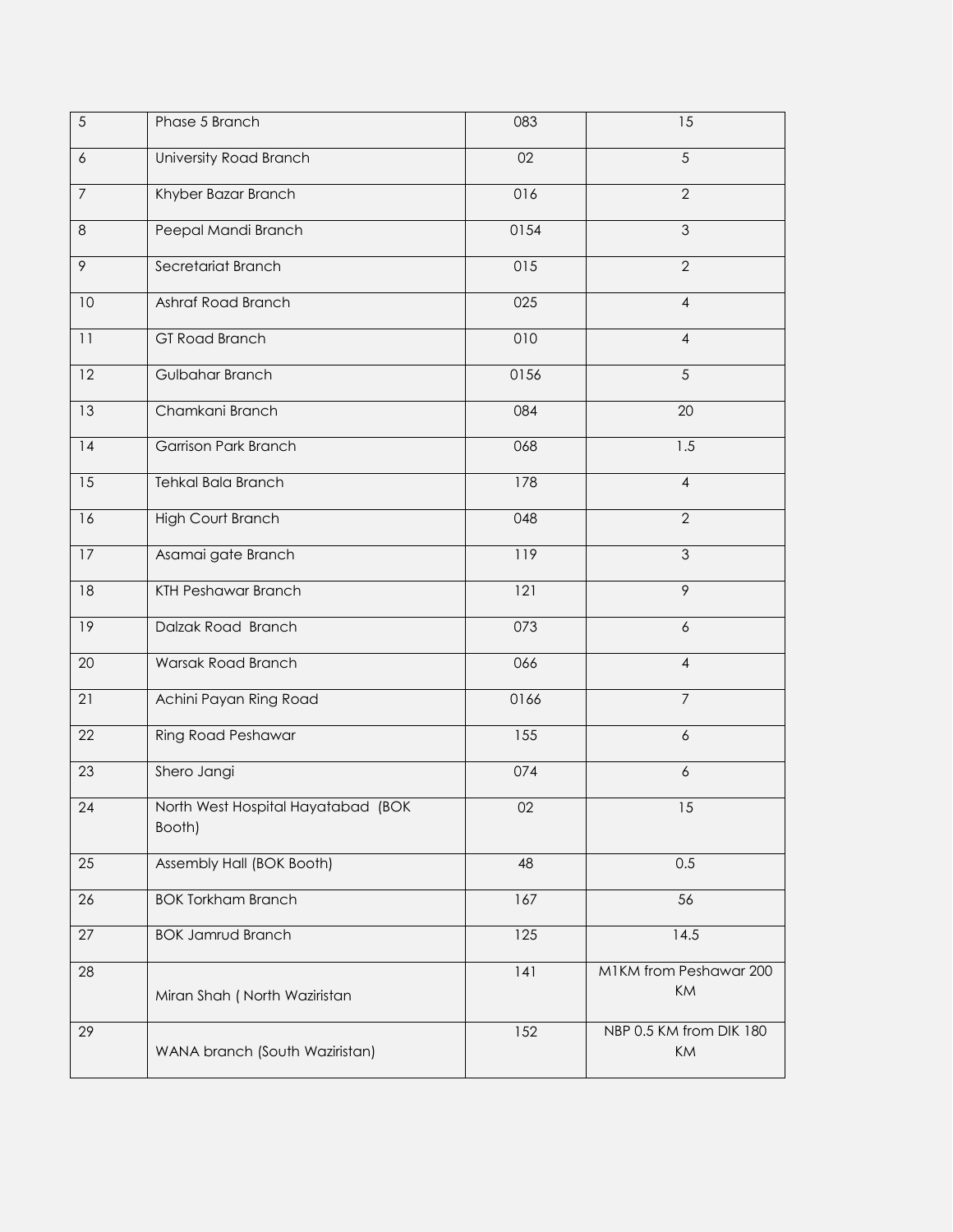| 5               | Phase 5 Branch                               | 083  | 15                            |
|-----------------|----------------------------------------------|------|-------------------------------|
| 6               | University Road Branch                       | 02   | $\overline{5}$                |
| $\overline{7}$  | Khyber Bazar Branch                          | 016  | $\overline{2}$                |
| 8               | Peepal Mandi Branch                          | 0154 | $\overline{3}$                |
| $\mathcal{P}$   | Secretariat Branch                           | 015  | $\overline{2}$                |
| $10\,$          | Ashraf Road Branch                           | 025  | $\overline{4}$                |
| 11              | GT Road Branch                               | 010  | $\overline{4}$                |
| 12              | Gulbahar Branch                              | 0156 | 5                             |
| 13              | Chamkani Branch                              | 084  | 20                            |
| 4               | <b>Garrison Park Branch</b>                  | 068  | $\overline{1.5}$              |
| $\overline{15}$ | <b>Tehkal Bala Branch</b>                    | 178  | $\overline{4}$                |
| 16              | <b>High Court Branch</b>                     | 048  | $\overline{2}$                |
| 17              | Asamai gate Branch                           | 119  | $\overline{3}$                |
| 18              | <b>KTH Peshawar Branch</b>                   | 121  | $\overline{9}$                |
| 19              | Dalzak Road Branch                           | 073  | $\boldsymbol{6}$              |
| 20              | Warsak Road Branch                           | 066  | $\overline{4}$                |
| 21              | Achini Payan Ring Road                       | 0166 | $\overline{7}$                |
| 22              | Ring Road Peshawar                           | 155  | 6                             |
| 23              | Shero Jangi                                  | 074  | 6                             |
| $24$            | North West Hospital Hayatabad (BOK<br>Booth) | $02$ | 15                            |
| 25              | Assembly Hall (BOK Booth)                    | 48   | 0.5                           |
| 26              | <b>BOK Torkham Branch</b>                    | 167  | 56                            |
| 27              | <b>BOK Jamrud Branch</b>                     | 125  | 14.5                          |
| 28              | Miran Shah (North Waziristan                 | 141  | M1KM from Peshawar 200<br>KM  |
| 29              | WANA branch (South Waziristan)               | 152  | NBP 0.5 KM from DIK 180<br>KM |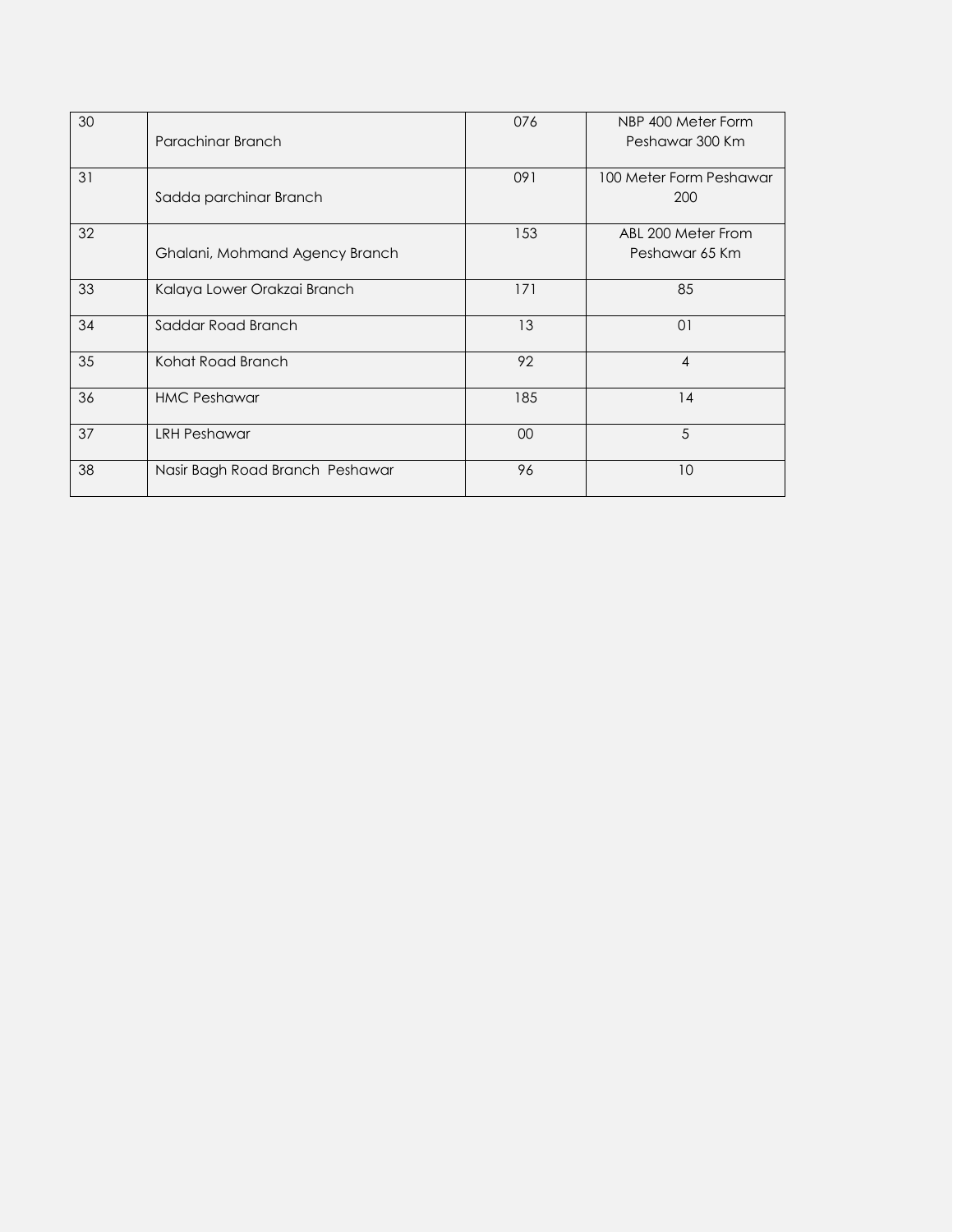| 30 | Parachinar Branch               | 076 | NBP 400 Meter Form<br>Peshawar 300 Km |
|----|---------------------------------|-----|---------------------------------------|
|    |                                 |     |                                       |
| 31 | Sadda parchinar Branch          | 091 | 100 Meter Form Peshawar<br>200        |
| 32 |                                 | 153 | ABL 200 Meter From                    |
|    | Ghalani, Mohmand Agency Branch  |     | Peshawar 65 Km                        |
| 33 | Kalaya Lower Orakzai Branch     | 171 | 85                                    |
| 34 | Saddar Road Branch              | 13  | 01                                    |
| 35 | Kohat Road Branch               | 92  | $\overline{4}$                        |
| 36 | <b>HMC Peshawar</b>             | 185 | 14                                    |
| 37 | <b>LRH Peshawar</b>             | 00  | 5                                     |
| 38 | Nasir Bagh Road Branch Peshawar | 96  | 10                                    |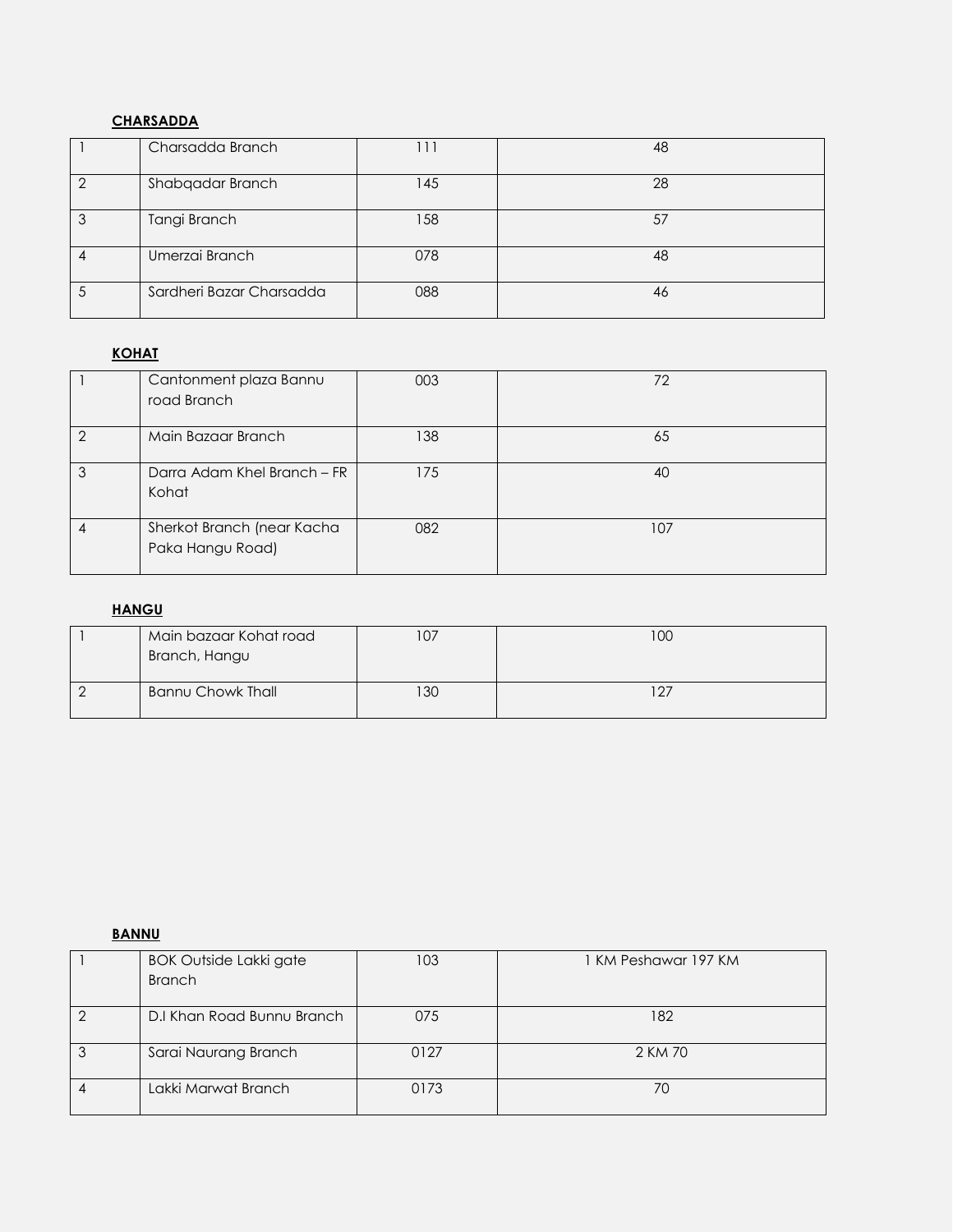# **CHARSADDA**

| Charsadda Branch         |           | 48 |
|--------------------------|-----------|----|
| Shabqadar Branch         | <b>45</b> | 28 |
| Tangi Branch             | 158       | 57 |
| Umerzai Branch           | 078       | 48 |
| Sardheri Bazar Charsadda | 088       | 46 |

# **KOHAT**

|   | Cantonment plaza Bannu<br>road Branch          | 003 | 72  |
|---|------------------------------------------------|-----|-----|
| っ | Main Bazaar Branch                             | 138 | 65  |
| 3 | Darra Adam Khel Branch - FR<br>Kohat           | 175 | 40  |
|   | Sherkot Branch (near Kacha<br>Paka Hangu Road) | 082 | 107 |

# **HANGU**

| Main bazaar Kohat road<br>Branch, Hangu | 07، | 100      |
|-----------------------------------------|-----|----------|
| <b>Bannu Chowk Thall</b>                | 30  | $12^{-}$ |

# **BANNU**

|   | <b>BOK Outside Lakki gate</b><br><b>Branch</b> | 103  | 1 KM Peshawar 197 KM |
|---|------------------------------------------------|------|----------------------|
|   |                                                |      |                      |
| ∩ | D.I Khan Road Bunnu Branch                     | 075  | 182                  |
| 3 | Sarai Naurang Branch                           | 0127 | 2 KM 70              |
|   | Lakki Marwat Branch                            | 0173 | 70                   |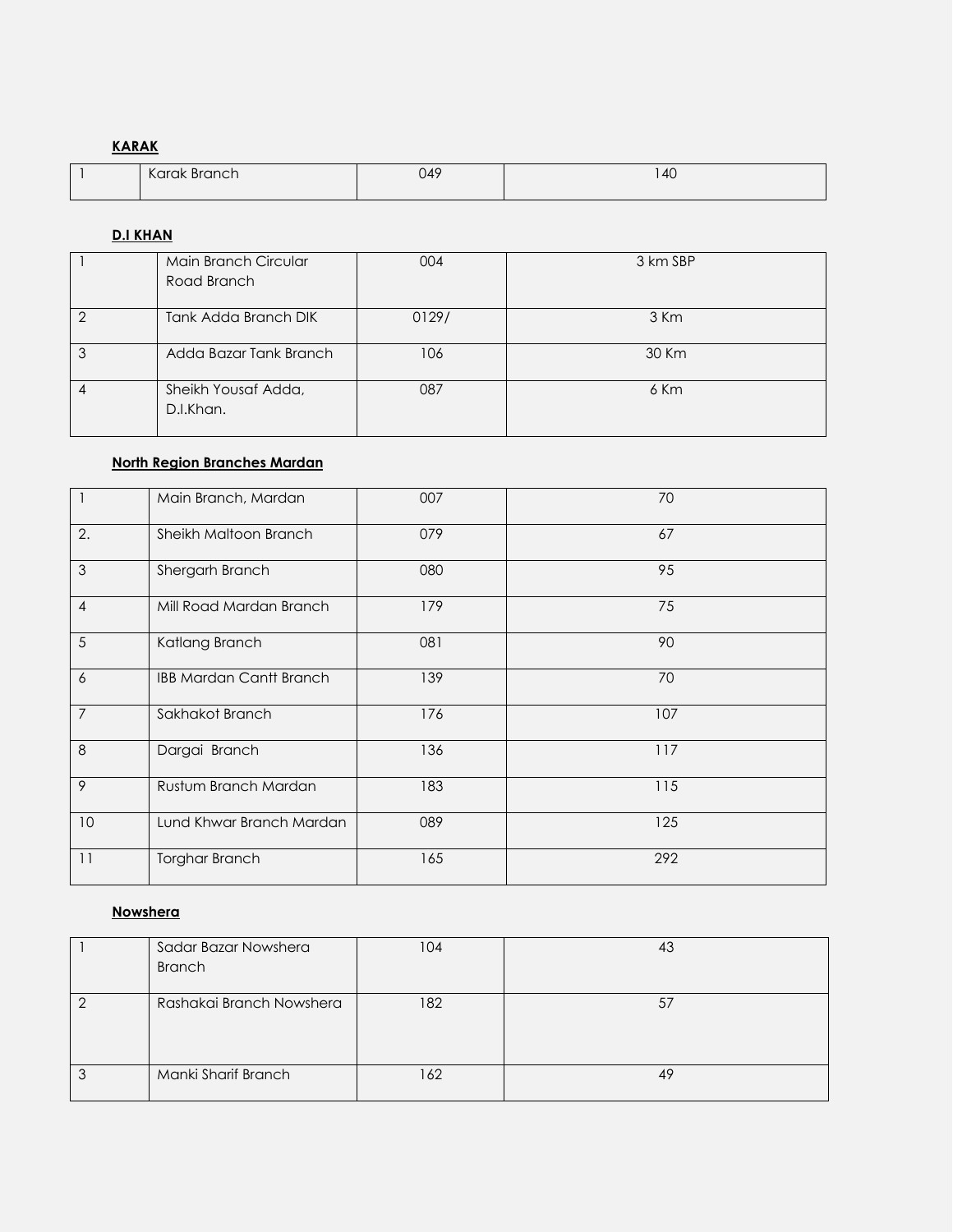# **KARAK**

| $\mathcal{U}$<br>Karak<br>Branch | 049 | 40<br>$\cdot$ $\cdot$ $\cdot$ |
|----------------------------------|-----|-------------------------------|
|                                  |     |                               |

# **D.I KHAN**

| Main Branch Circular<br>Road Branch | 004   | 3 km SBP |
|-------------------------------------|-------|----------|
| Tank Adda Branch DIK                | 0129/ | 3 Km     |
| Adda Bazar Tank Branch              | 106   | 30 Km    |
| Sheikh Yousaf Adda,<br>D.I.Khan.    | 087   | 6 Km     |

# **North Region Branches Mardan**

|                | Main Branch, Mardan            | 007 | 70  |
|----------------|--------------------------------|-----|-----|
| 2.             | Sheikh Maltoon Branch          | 079 | 67  |
| $\mathfrak{Z}$ | Shergarh Branch                | 080 | 95  |
| $\overline{4}$ | Mill Road Mardan Branch        | 179 | 75  |
| 5              | Katlang Branch                 | 081 | 90  |
| 6              | <b>IBB Mardan Cantt Branch</b> | 139 | 70  |
| $\overline{7}$ | Sakhakot Branch                | 176 | 107 |
| 8              | Dargai Branch                  | 136 | 117 |
| 9              | Rustum Branch Mardan           | 183 | 115 |
| 10             | Lund Khwar Branch Mardan       | 089 | 125 |
| 11             | Torghar Branch                 | 165 | 292 |

## **Nowshera**

| Sadar Bazar Nowshera     | 104 |    |
|--------------------------|-----|----|
| <b>Branch</b>            |     |    |
|                          |     |    |
| Rashakai Branch Nowshera | 182 | 57 |
|                          |     |    |
|                          |     |    |
|                          |     |    |
| Manki Sharif Branch      | 162 | 49 |
|                          |     |    |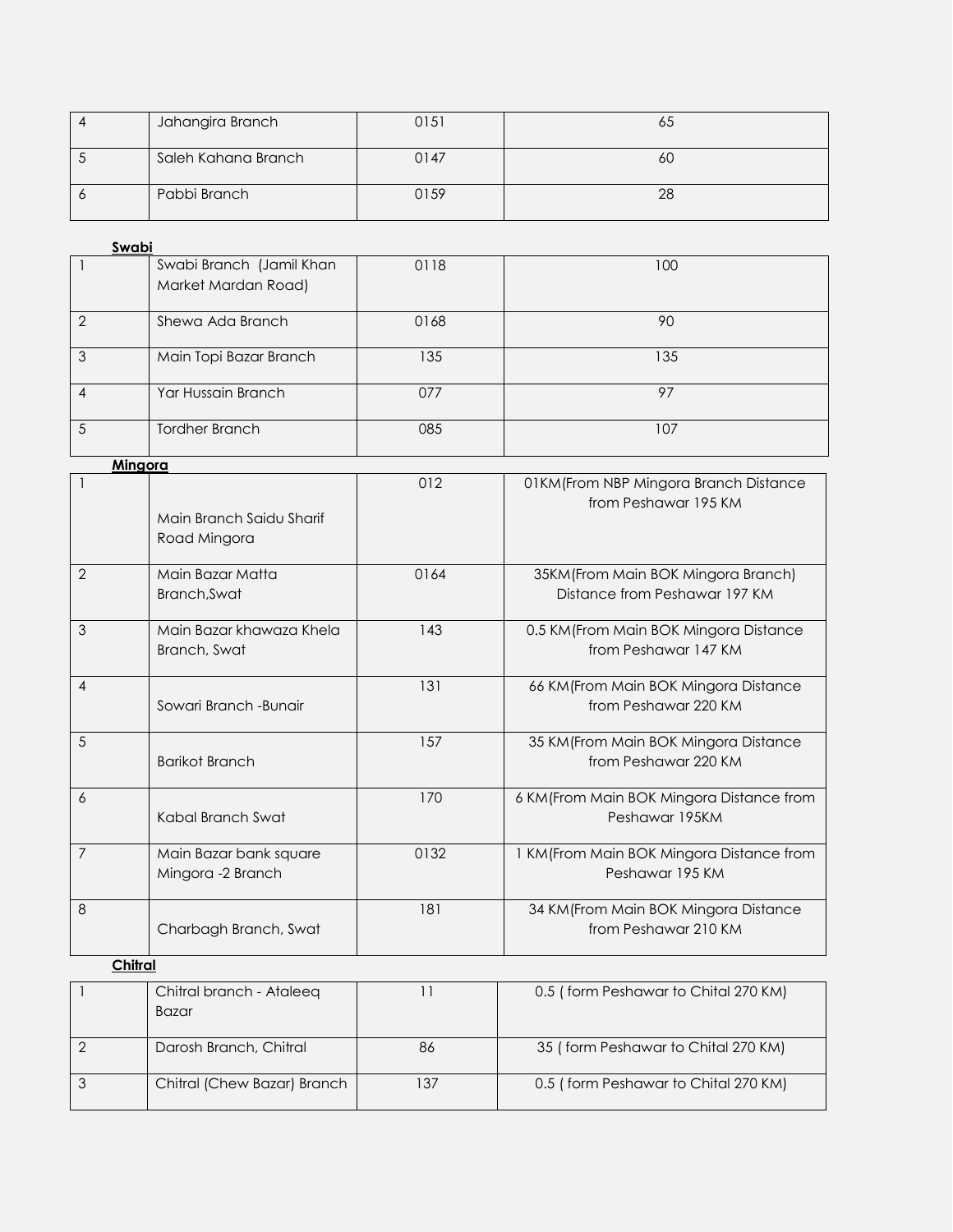| Jahangira Branch    | 0151 | οJ |
|---------------------|------|----|
| Saleh Kahana Branch | 0147 | 0U |
| Pabbi Branch        | 0159 | 28 |

| Swabi         |                          |      |     |
|---------------|--------------------------|------|-----|
|               | Swabi Branch (Jamil Khan | 0118 | 100 |
|               | Market Mardan Road)      |      |     |
| $\mathcal{D}$ | Shewa Ada Branch         | 0168 | 90  |
| 3             | Main Topi Bazar Branch   | 135  | 135 |
|               | Yar Hussain Branch       | 077  | 97  |
|               | <b>Tordher Branch</b>    | 085  | 107 |

| Mingora        |                                             |      |                                                                      |
|----------------|---------------------------------------------|------|----------------------------------------------------------------------|
|                | Main Branch Saidu Sharif<br>Road Mingora    | 012  | 01KM (From NBP Mingora Branch Distance<br>from Peshawar 195 KM       |
| $\overline{2}$ | Main Bazar Matta<br>Branch, Swat            | 0164 | 35KM (From Main BOK Mingora Branch)<br>Distance from Peshawar 197 KM |
| 3              | Main Bazar khawaza Khela<br>Branch, Swat    | 143  | 0.5 KM (From Main BOK Mingora Distance<br>from Peshawar 147 KM       |
| 4              | Sowari Branch - Bunair                      | 131  | 66 KM (From Main BOK Mingora Distance<br>from Peshawar 220 KM        |
| 5              | <b>Barikot Branch</b>                       | 157  | 35 KM (From Main BOK Mingora Distance<br>from Peshawar 220 KM        |
| 6              | Kabal Branch Swat                           | 170  | 6 KM (From Main BOK Mingora Distance from<br>Peshawar 195KM          |
| $\overline{7}$ | Main Bazar bank square<br>Mingora -2 Branch | 0132 | 1 KM (From Main BOK Mingora Distance from<br>Peshawar 195 KM         |
| 8              | Charbagh Branch, Swat                       | 181  | 34 KM (From Main BOK Mingora Distance<br>from Peshawar 210 KM        |
| Chitral        |                                             |      |                                                                      |
|                | Chitral branch - Ataleeq<br><b>Bazar</b>    | 11   | 0.5 (form Peshawar to Chital 270 KM)                                 |
| $\overline{2}$ | Darosh Branch, Chitral                      | 86   | 35 (form Peshawar to Chital 270 KM)                                  |

3 Chitral (Chew Bazar) Branch 137 0.5 ( form Peshawar to Chital 270 KM)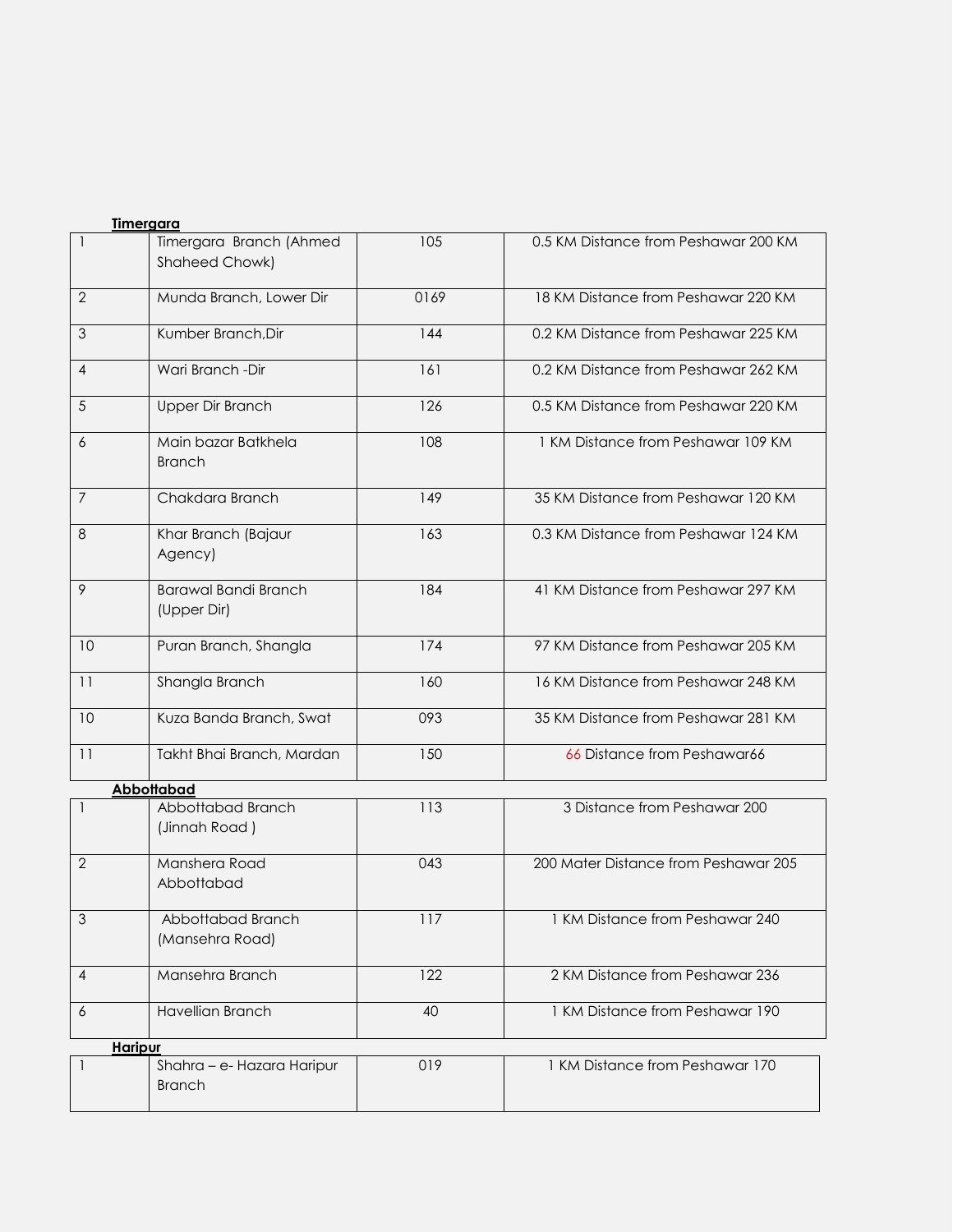| <b>Timergara</b> |                                             |      |                                      |
|------------------|---------------------------------------------|------|--------------------------------------|
| 1                | Timergara Branch (Ahmed<br>Shaheed Chowk)   | 105  | 0.5 KM Distance from Peshawar 200 KM |
| $\mathbf{2}$     | Munda Branch, Lower Dir                     | 0169 | 18 KM Distance from Peshawar 220 KM  |
| $\mathfrak{Z}$   | Kumber Branch, Dir                          | 144  | 0.2 KM Distance from Peshawar 225 KM |
| 4                | Wari Branch - Dir                           | 161  | 0.2 KM Distance from Peshawar 262 KM |
| 5                | <b>Upper Dir Branch</b>                     | 126  | 0.5 KM Distance from Peshawar 220 KM |
| 6                | Main bazar Batkhela<br><b>Branch</b>        | 108  | 1 KM Distance from Peshawar 109 KM   |
| $\overline{7}$   | Chakdara Branch                             | 149  | 35 KM Distance from Peshawar 120 KM  |
| 8                | Khar Branch (Bajaur<br>Agency)              | 163  | 0.3 KM Distance from Peshawar 124 KM |
| 9                | <b>Barawal Bandi Branch</b><br>(Upper Dir)  | 184  | 41 KM Distance from Peshawar 297 KM  |
| 10               | Puran Branch, Shangla                       | 174  | 97 KM Distance from Peshawar 205 KM  |
| 11               | Shangla Branch                              | 160  | 16 KM Distance from Peshawar 248 KM  |
| 10               | Kuza Banda Branch, Swat                     | 093  | 35 KM Distance from Peshawar 281 KM  |
| 11               | Takht Bhai Branch, Mardan                   | 150  | 66 Distance from Peshawar66          |
|                  | Abbottabad                                  |      |                                      |
| $\mathbf{1}$     | Abbottabad Branch<br>(Jinnah Road)          | 113  | 3 Distance from Peshawar 200         |
| $\overline{2}$   | Manshera Road<br>Abbottabad                 | 043  | 200 Mater Distance from Peshawar 205 |
| 3                | Abbottabad Branch<br>(Mansehra Road)        | 117  | 1 KM Distance from Peshawar 240      |
| $\overline{4}$   | Mansehra Branch                             | 122  | 2 KM Distance from Peshawar 236      |
| 6                | <b>Havellian Branch</b>                     | 40   | 1 KM Distance from Peshawar 190      |
| <b>Haripur</b>   |                                             |      |                                      |
| $\mathbf{1}$     | Shahra - e- Hazara Haripur<br><b>Branch</b> | 019  | 1 KM Distance from Peshawar 170      |
|                  |                                             |      |                                      |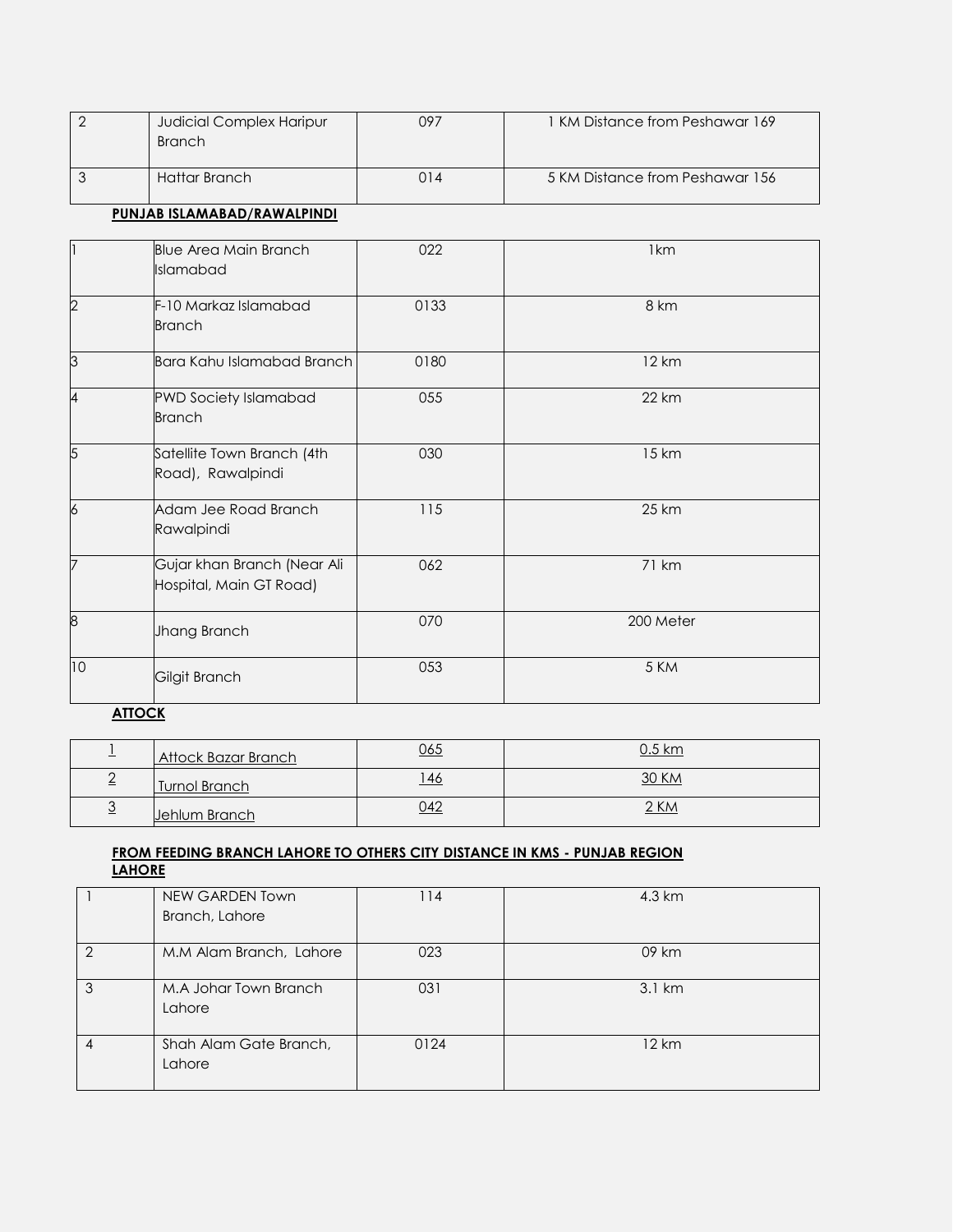| $\overline{2}$ | Judicial Complex Haripur<br><b>Branch</b>              | 097  | 1 KM Distance from Peshawar 169 |
|----------------|--------------------------------------------------------|------|---------------------------------|
| $\mathfrak{Z}$ | <b>Hattar Branch</b>                                   | 014  | 5 KM Distance from Peshawar 156 |
|                | PUNJAB ISLAMABAD/RAWALPINDI                            |      |                                 |
| 1              | <b>Blue Area Main Branch</b><br>Islamabad              | 022  | 1 <sub>km</sub>                 |
| $\overline{2}$ | F-10 Markaz Islamabad<br><b>Branch</b>                 | 0133 | 8 km                            |
| 3              | <b>Bara Kahu Islamabad Branch</b>                      | 0180 | 12 km                           |
| 4              | <b>PWD Society Islamabad</b><br><b>Branch</b>          | 055  | <b>22 km</b>                    |
| 5              | Satellite Town Branch (4th<br>Road), Rawalpindi        | 030  | 15 km                           |
| $\overline{6}$ | Adam Jee Road Branch<br>Rawalpindi                     | 115  | 25 km                           |
| 7              | Gujar khan Branch (Near Ali<br>Hospital, Main GT Road) | 062  | 71 km                           |
| 8              | Jhang Branch                                           | 070  | 200 Meter                       |
| 10             | Gilgit Branch                                          | 053  | 5 KM                            |

# **ATTOCK**

| Attock Bazar Branch  | <u>065</u> | <u>0.5 km</u> |
|----------------------|------------|---------------|
| <b>Turnol Branch</b> | <u>46</u>  | 30 KM         |
| Jehlum Branch        | 042        | 2 KM          |

## **FROM FEEDING BRANCH LAHORE TO OTHERS CITY DISTANCE IN KMS - PUNJAB REGION LAHORE**

|   | NEW GARDEN Town         | 114  | 4.3 km           |
|---|-------------------------|------|------------------|
|   | Branch, Lahore          |      |                  |
|   |                         |      |                  |
| 2 | M.M Alam Branch, Lahore | 023  | 09 km            |
|   |                         |      |                  |
|   | M.A Johar Town Branch   | 031  | $3.1 \text{ km}$ |
|   | Lahore                  |      |                  |
|   |                         |      |                  |
| 4 | Shah Alam Gate Branch,  | 0124 | 12 km            |
|   | Lahore                  |      |                  |
|   |                         |      |                  |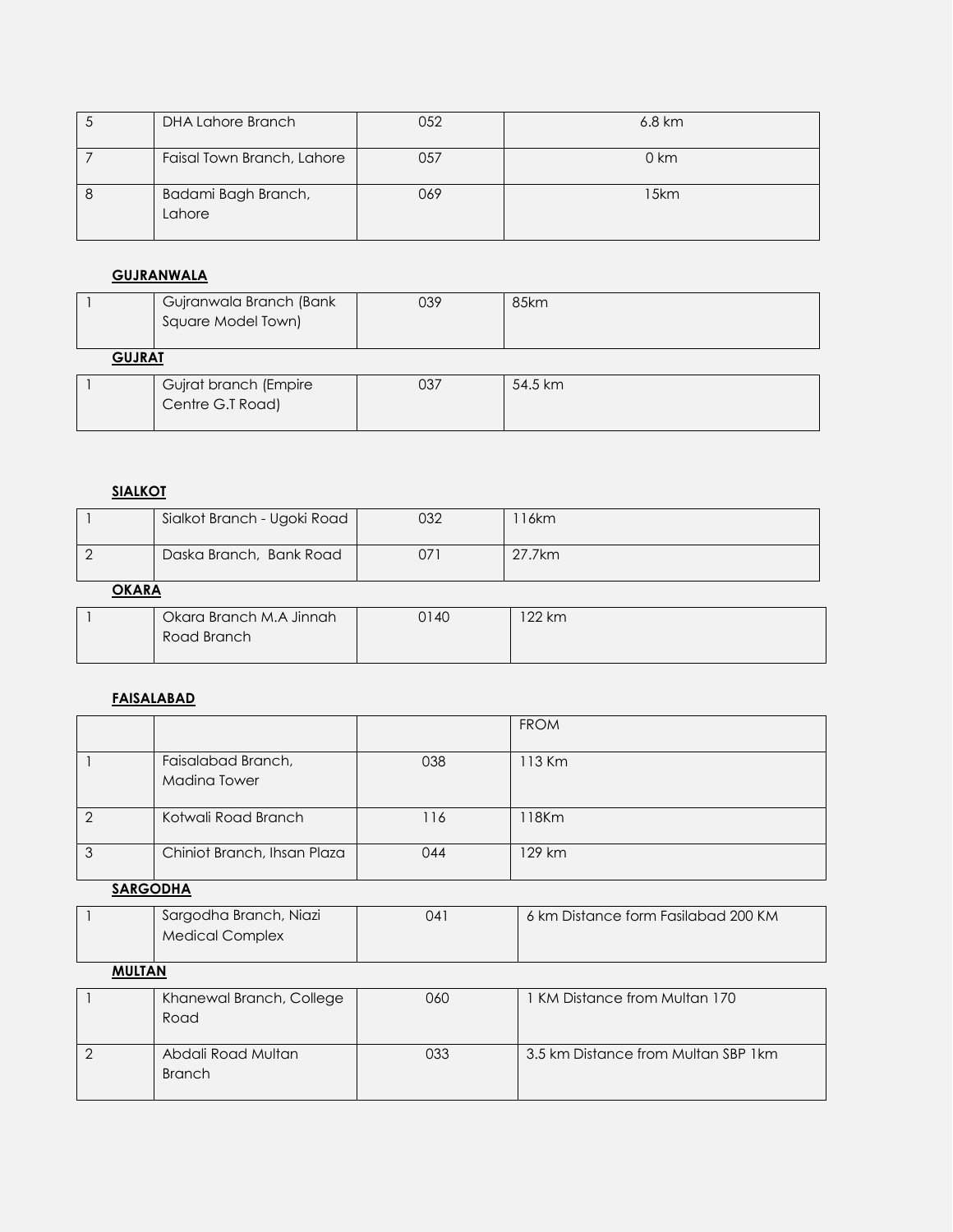| $\sim$ | DHA Lahore Branch             | 052 | $6.8 \text{ km}$ |
|--------|-------------------------------|-----|------------------|
|        | Faisal Town Branch, Lahore    | 057 | $0 \mathrm{km}$  |
|        | Badami Bagh Branch,<br>Lahore | 069 | 15km             |

# **GUJRANWALA**

|               | Gujranwala Branch (Bank<br>Square Model Town) | 039 | 85km    |
|---------------|-----------------------------------------------|-----|---------|
| <b>GUJRAT</b> |                                               |     |         |
|               | Gujrat branch (Empire<br>Centre G.T Road)     | 037 | 54.5 km |

# **SIALKOT**

|              | Sialkot Branch - Ugoki Road | 032 | 16km   |  |
|--------------|-----------------------------|-----|--------|--|
|              | Daska Branch, Bank Road     | 071 | 27.7km |  |
| <b>OKARA</b> |                             |     |        |  |
|              |                             |     |        |  |

# **FAISALABAD**

|                                           |     | <b>FROM</b> |
|-------------------------------------------|-----|-------------|
| Faisalabad Branch,<br><b>Madina Tower</b> | 038 | 113 Km      |
| Kotwali Road Branch                       | 116 | 18Km        |
| Chiniot Branch, Ihsan Plaza               | 044 | 129 km      |

# **SARGODHA**

|  | Sargodha Branch, Niazi<br>Medical Complex | 041 | 6 km Distance form Fasilabad 200 KM |
|--|-------------------------------------------|-----|-------------------------------------|
|--|-------------------------------------------|-----|-------------------------------------|

# **MULTAN**

| Khanewal Branch, College<br>Road    | 060 | KM Distance from Multan 170          |
|-------------------------------------|-----|--------------------------------------|
| Abdali Road Multan<br><b>Branch</b> | 033 | 3.5 km Distance from Multan SBP 1 km |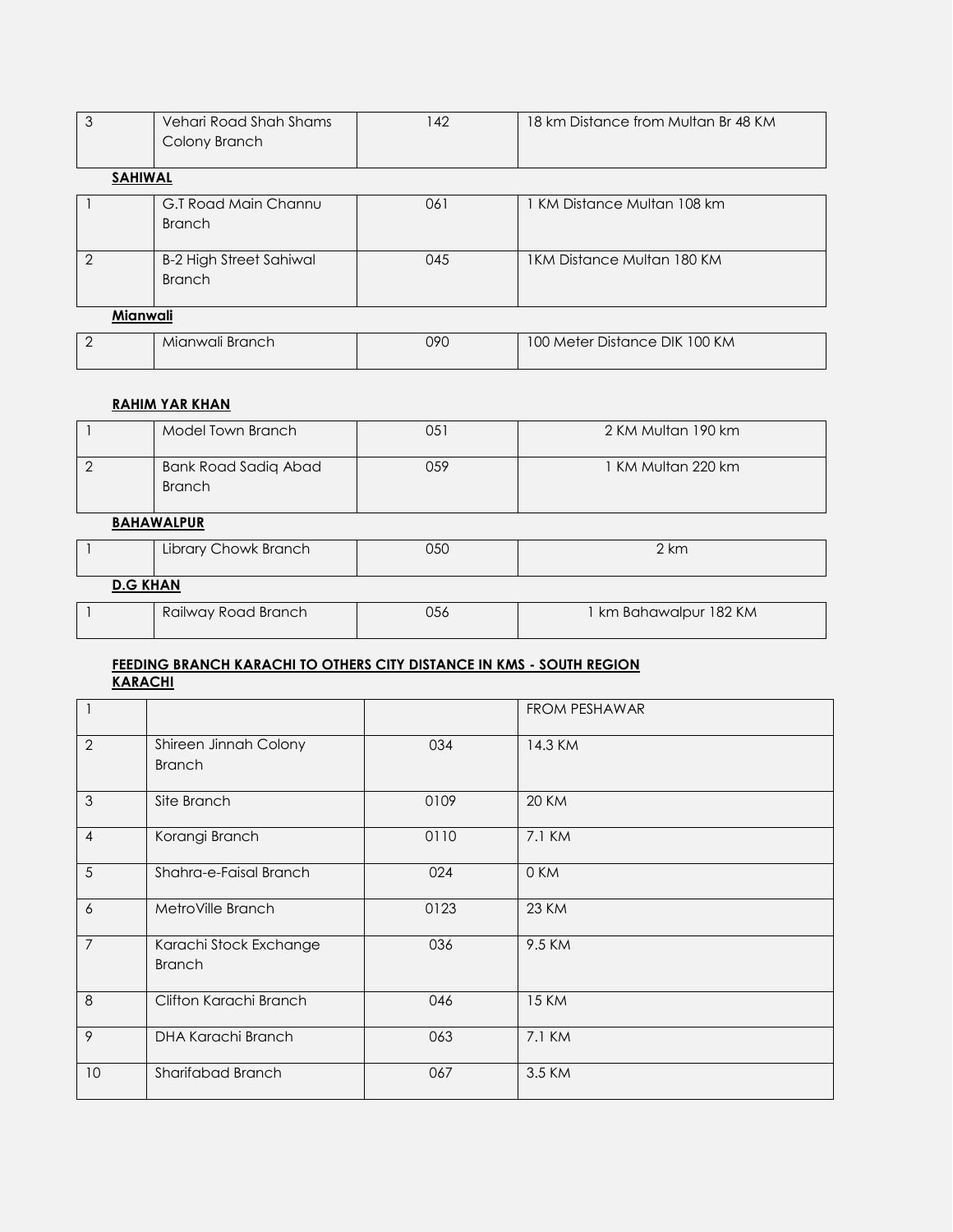| 3              | Vehari Road Shah Shams<br>Colony Branch         | 142    | 18 km Distance from Multan Br 48 KM |
|----------------|-------------------------------------------------|--------|-------------------------------------|
| <b>SAHIWAL</b> |                                                 |        |                                     |
|                | G.T Road Main Channu<br><b>Branch</b>           | 061    | 1 KM Distance Multan 108 km         |
| $\mathcal{P}$  | <b>B-2 High Street Sahiwal</b><br><b>Branch</b> | 045    | 1KM Distance Multan 180 KM          |
|                | Mianwali                                        |        |                                     |
| $\sim$         | <b>International Property Control</b>           | $\sim$ | $100111.$ $N'1.$ $N''$              |

# 2 | Mianwali Branch | 090 | 100 Meter Distance DIK 100 KM

# **RAHIM YAR KHAN**

| Model Town Branch                     | 051 | 2 KM Multan 190 km |
|---------------------------------------|-----|--------------------|
| Bank Road Sadiq Abad<br><b>Branch</b> | 059 | 1 KM Multan 220 km |

## **BAHAWALPUR**

|                 | Library Chowk Branch | 050 | 2 km                   |
|-----------------|----------------------|-----|------------------------|
| <b>D.G KHAN</b> |                      |     |                        |
|                 | Railway Road Branch  | 056 | 1 km Bahawalpur 182 KM |

# **FEEDING BRANCH KARACHI TO OTHERS CITY DISTANCE IN KMS - SOUTH REGION KARACHI**

|                |                                         |      | FROM PESHAWAR |
|----------------|-----------------------------------------|------|---------------|
| $\overline{2}$ | Shireen Jinnah Colony<br><b>Branch</b>  | 034  | 14.3 KM       |
| 3              | Site Branch                             | 0109 | <b>20 KM</b>  |
| $\overline{4}$ | Korangi Branch                          | 0110 | 7.1 KM        |
| 5              | Shahra-e-Faisal Branch                  | 024  | 0 KM          |
| 6              | MetroVille Branch                       | 0123 | <b>23 KM</b>  |
| $\overline{7}$ | Karachi Stock Exchange<br><b>Branch</b> | 036  | 9.5 KM        |
| 8              | Clifton Karachi Branch                  | 046  | <b>15 KM</b>  |
| 9              | DHA Karachi Branch                      | 063  | 7.1 KM        |
| 10             | Sharifabad Branch                       | 067  | 3.5 KM        |